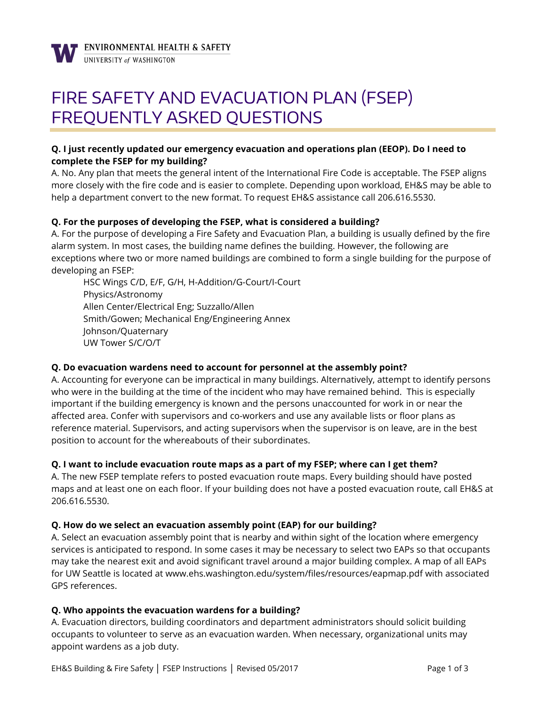

# FIRE SAFETY AND EVACUATION PLAN (FSEP) FREQUENTLY ASKED QUESTIONS

# **Q. I just recently updated our emergency evacuation and operations plan (EEOP). Do I need to complete the FSEP for my building?**

A. No. Any plan that meets the general intent of the International Fire Code is acceptable. The FSEP aligns more closely with the fire code and is easier to complete. Depending upon workload, EH&S may be able to help a department convert to the new format. To request EH&S assistance call 206.616.5530.

## **Q. For the purposes of developing the FSEP, what is considered a building?**

A. For the purpose of developing a Fire Safety and Evacuation Plan, a building is usually defined by the fire alarm system. In most cases, the building name defines the building. However, the following are exceptions where two or more named buildings are combined to form a single building for the purpose of developing an FSEP:

HSC Wings C/D, E/F, G/H, H-Addition/G-Court/I-Court Physics/Astronomy Allen Center/Electrical Eng; Suzzallo/Allen Smith/Gowen; Mechanical Eng/Engineering Annex Johnson/Quaternary UW Tower S/C/O/T

## **Q. Do evacuation wardens need to account for personnel at the assembly point?**

A. Accounting for everyone can be impractical in many buildings. Alternatively, attempt to identify persons who were in the building at the time of the incident who may have remained behind. This is especially important if the building emergency is known and the persons unaccounted for work in or near the affected area. Confer with supervisors and co-workers and use any available lists or floor plans as reference material. Supervisors, and acting supervisors when the supervisor is on leave, are in the best position to account for the whereabouts of their subordinates.

## **Q. I want to include evacuation route maps as a part of my FSEP; where can I get them?**

A. The new FSEP template refers to posted evacuation route maps. Every building should have posted maps and at least one on each floor. If your building does not have a posted evacuation route, call EH&S at 206.616.5530.

## **Q. How do we select an evacuation assembly point (EAP) for our building?**

A. Select an evacuation assembly point that is nearby and within sight of the location where emergency services is anticipated to respond. In some cases it may be necessary to select two EAPs so that occupants may take the nearest exit and avoid significant travel around a major building complex. A map of all EAPs for UW Seattle is located at www.ehs.washington.ed[u/system/files/resources/eapmap.pdf](http://ehs-web01.s.uw.edu/system/files/resources/eapmap.pdf) with associated GPS references.

## **Q. Who appoints the evacuation wardens for a building?**

A. Evacuation directors, building coordinators and department administrators should solicit building occupants to volunteer to serve as an evacuation warden. When necessary, organizational units may appoint wardens as a job duty.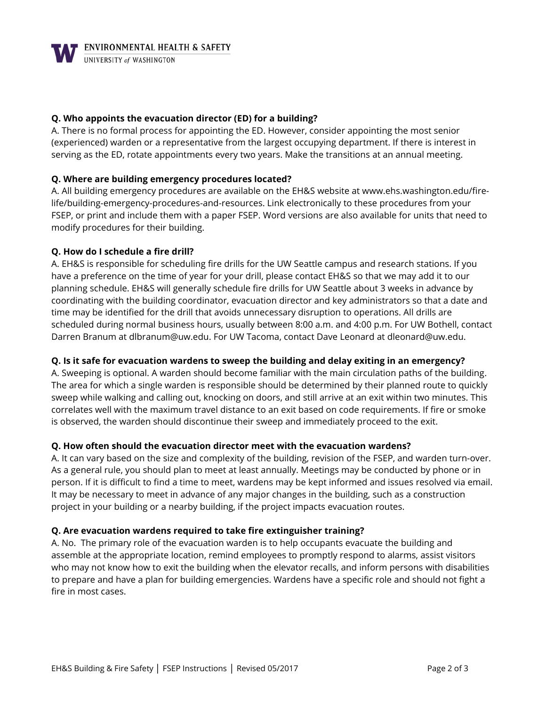**WENVIRONMENTAL HEALTH & SAFETY** 

## **Q. Who appoints the evacuation director (ED) for a building?**

A. There is no formal process for appointing the ED. However, consider appointing the most senior (experienced) warden or a representative from the largest occupying department. If there is interest in serving as the ED, rotate appointments every two years. Make the transitions at an annual meeting.

## **Q. Where are building emergency procedures located?**

A. All building emergency procedures are available on the EH&S website at [www.ehs.washington.edu/](http://www.ehs.washington.edu/)firelife/building-emergency-procedures-and-resources. Link electronically to these procedures from your FSEP, or print and include them with a paper FSEP. Word versions are also available for units that need to modify procedures for their building.

## **Q. How do I schedule a fire drill?**

A. EH&S is responsible for scheduling fire drills for the UW Seattle campus and research stations. If you have a preference on the time of year for your drill, please contact EH&S so that we may add it to our planning schedule. EH&S will generally schedule fire drills for UW Seattle about 3 weeks in advance by coordinating with the building coordinator, evacuation director and key administrators so that a date and time may be identified for the drill that avoids unnecessary disruption to operations. All drills are scheduled during normal business hours, usually between 8:00 a.m. and 4:00 p.m. For UW Bothell, contact Darren Branum at dlbranum@uw.edu. For UW Tacoma, contact Dave Leonard at dleonard@uw.edu.

## **Q. Is it safe for evacuation wardens to sweep the building and delay exiting in an emergency?**

A. Sweeping is optional. A warden should become familiar with the main circulation paths of the building. The area for which a single warden is responsible should be determined by their planned route to quickly sweep while walking and calling out, knocking on doors, and still arrive at an exit within two minutes. This correlates well with the maximum travel distance to an exit based on code requirements. If fire or smoke is observed, the warden should discontinue their sweep and immediately proceed to the exit.

## **Q. How often should the evacuation director meet with the evacuation wardens?**

A. It can vary based on the size and complexity of the building, revision of the FSEP, and warden turn-over. As a general rule, you should plan to meet at least annually. Meetings may be conducted by phone or in person. If it is difficult to find a time to meet, wardens may be kept informed and issues resolved via email. It may be necessary to meet in advance of any major changes in the building, such as a construction project in your building or a nearby building, if the project impacts evacuation routes.

## **Q. Are evacuation wardens required to take fire extinguisher training?**

A. No. The primary role of the evacuation warden is to help occupants evacuate the building and assemble at the appropriate location, remind employees to promptly respond to alarms, assist visitors who may not know how to exit the building when the elevator recalls, and inform persons with disabilities to prepare and have a plan for building emergencies. Wardens have a specific role and should not fight a fire in most cases.